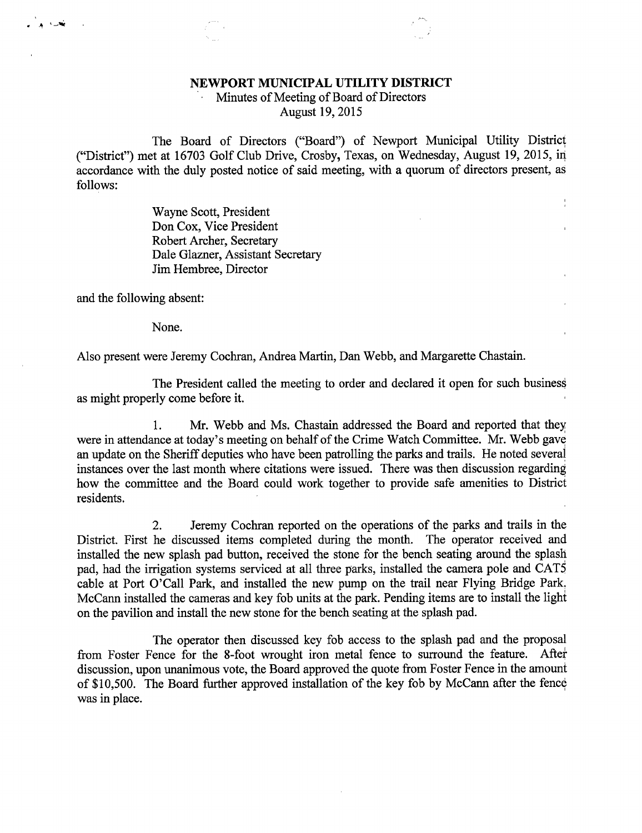## NEWPORT MUNICIPAL UTILITY DISTRICT

Minutes of Meeting of Board of Directors August 19, 2015

The Board of Directors ("Board") of Newport Municipal Utility District ("District") met at 16703 Golf Club Drive, Crosby, Texas, on Wednesday, August 19, 2015, in accordance with the duly posted notice of said meeting, with a quorum of directors present, as follows:

 $\frac{1}{2}$ 

Wayne Scott, President Don Cox, Vice President Robert Archer, Secretary Dale Glazner, Assistant Secretary Jim Hembree, Director

and the following absent:

None.

Also present were Jeremy Cochran, Andrea Martin, Dan Webb, and Margarette Chastain.

The President called the meeting to order and declared it open for such business as might properly come before it.

1. Mr. Webb and Ms. Chastain addressed the Board and reported that they were in attendance at today's meeting on behalf of the Crime Watch Committee. Mr. Webb gave an update on the Sheriff deputies who have been patrolling the parks and trails. He noted several instances over the last month where citations were issued. There was then discussion regarding how the committee and the Board could work together to provide safe amenities to District residents.

2. Jeremy Cochran reported on the operations of the parks and trails in the District. First he discussed items completed during the month. The operator received and installed the new splash pad button, received the stone for the bench seating around the splash pad, had the irrigation systems serviced at all three parks, installed the camera pole and CATS cable at Port O'Call Park, and installed the new pump on the trail near Flying Bridge Park. McCann installed the cameras and key fob units at the park. Pending items are to install the light on the pavilion and install the new stone for the bench seating at the splash pad.

The operator then discussed key fob access to the splash pad and the proposal from Foster Fence for the 8-foot wrought iron metal fence to surround the feature. After discussion, upon unanimous vote, the Board approved the quote from Foster Fence in the amount of \$10,500. The Board further approved installation of the key fob by McCann after the fence was in place.